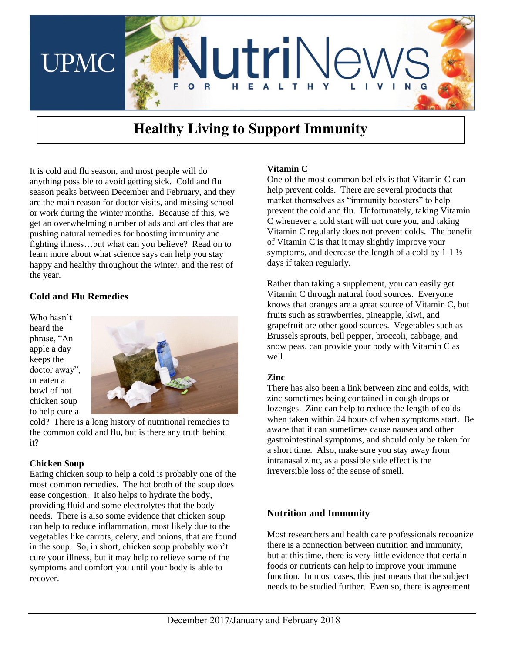

# Healthy Living to Support Immunity

It is cold and flu season, and most people will do anything possible to avoid getting sick. Cold and flu season peaks between December and February, and they are the main reason for doctor visits, and missing school or work during the winter months. Because of this, we get an overwhelming number of ads and articles that are pushing natural remedies for boosting immunity and fighting illness…but what can you believe? Read on to learn more about what science says can help you stay happy and healthy throughout the winter, and the rest of the year.

## **Cold and Flu Remedies**

Who hasn't heard the phrase, "An apple a day keeps the doctor away", or eaten a bowl of hot chicken soup to help cure a



cold? There is a long history of nutritional remedies to the common cold and flu, but is there any truth behind it?

#### **Chicken Soup**

Eating chicken soup to help a cold is probably one of the most common remedies. The hot broth of the soup does ease congestion. It also helps to hydrate the body, providing fluid and some electrolytes that the body needs. There is also some evidence that chicken soup can help to reduce inflammation, most likely due to the vegetables like carrots, celery, and onions, that are found in the soup. So, in short, chicken soup probably won't cure your illness, but it may help to relieve some of the symptoms and comfort you until your body is able to recover.

#### **Vitamin C**

One of the most common beliefs is that Vitamin C can help prevent colds. There are several products that market themselves as "immunity boosters" to help prevent the cold and flu. Unfortunately, taking Vitamin C whenever a cold start will not cure you, and taking Vitamin C regularly does not prevent colds. The benefit of Vitamin C is that it may slightly improve your symptoms, and decrease the length of a cold by 1-1 ½ days if taken regularly.

Rather than taking a supplement, you can easily get Vitamin C through natural food sources. Everyone knows that oranges are a great source of Vitamin C, but fruits such as strawberries, pineapple, kiwi, and grapefruit are other good sources. Vegetables such as Brussels sprouts, bell pepper, broccoli, cabbage, and snow peas, can provide your body with Vitamin C as well.

#### **Zinc**

There has also been a link between zinc and colds, with zinc sometimes being contained in cough drops or lozenges. Zinc can help to reduce the length of colds when taken within 24 hours of when symptoms start. Be aware that it can sometimes cause nausea and other gastrointestinal symptoms, and should only be taken for a short time. Also, make sure you stay away from intranasal zinc, as a possible side effect is the irreversible loss of the sense of smell.

## **Nutrition and Immunity**

Most researchers and health care professionals recognize there is a connection between nutrition and immunity, but at this time, there is very little evidence that certain foods or nutrients can help to improve your immune function. In most cases, this just means that the subject needs to be studied further. Even so, there is agreement